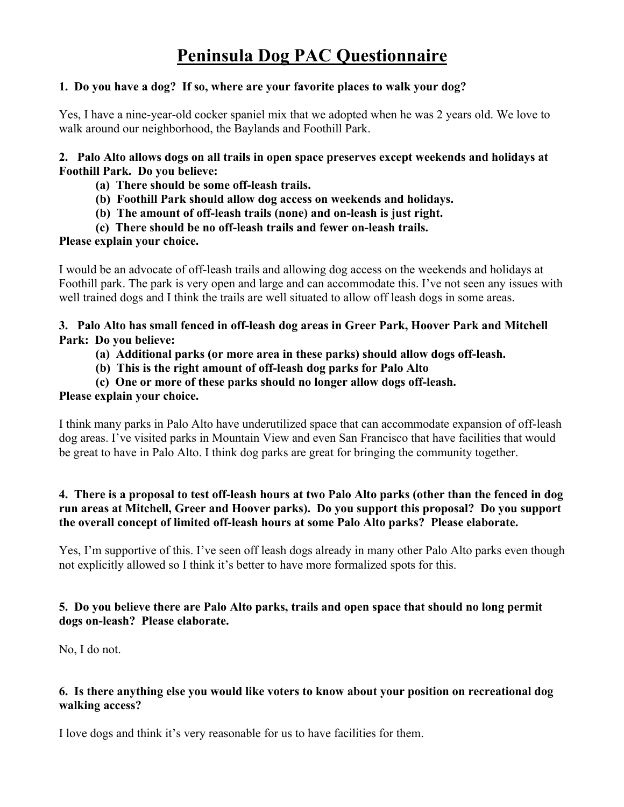# **1. Do you have a dog? If so, where are your favorite places to walk your dog?**

Yes, I have a nine-year-old cocker spaniel mix that we adopted when he was 2 years old. We love to walk around our neighborhood, the Baylands and Foothill Park.

**2. Palo Alto allows dogs on all trails in open space preserves except weekends and holidays at Foothill Park. Do you believe:**

- **(a) There should be some off-leash trails.**
- **(b) Foothill Park should allow dog access on weekends and holidays.**
- **(b) The amount of off-leash trails (none) and on-leash is just right.**
- **(c) There should be no off-leash trails and fewer on-leash trails.**

# **Please explain your choice.**

I would be an advocate of off-leash trails and allowing dog access on the weekends and holidays at Foothill park. The park is very open and large and can accommodate this. I've not seen any issues with well trained dogs and I think the trails are well situated to allow off leash dogs in some areas.

**3. Palo Alto has small fenced in off-leash dog areas in Greer Park, Hoover Park and Mitchell Park: Do you believe:**

- **(a) Additional parks (or more area in these parks) should allow dogs off-leash.**
- **(b) This is the right amount of off-leash dog parks for Palo Alto**
- **(c) One or more of these parks should no longer allow dogs off-leash.**

### **Please explain your choice.**

I think many parks in Palo Alto have underutilized space that can accommodate expansion of off-leash dog areas. I've visited parks in Mountain View and even San Francisco that have facilities that would be great to have in Palo Alto. I think dog parks are great for bringing the community together.

### **4. There is a proposal to test off-leash hours at two Palo Alto parks (other than the fenced in dog run areas at Mitchell, Greer and Hoover parks). Do you support this proposal? Do you support the overall concept of limited off-leash hours at some Palo Alto parks? Please elaborate.**

Yes, I'm supportive of this. I've seen off leash dogs already in many other Palo Alto parks even though not explicitly allowed so I think it's better to have more formalized spots for this.

# **5. Do you believe there are Palo Alto parks, trails and open space that should no long permit dogs on-leash? Please elaborate.**

No, I do not.

### **6. Is there anything else you would like voters to know about your position on recreational dog walking access?**

I love dogs and think it's very reasonable for us to have facilities for them.